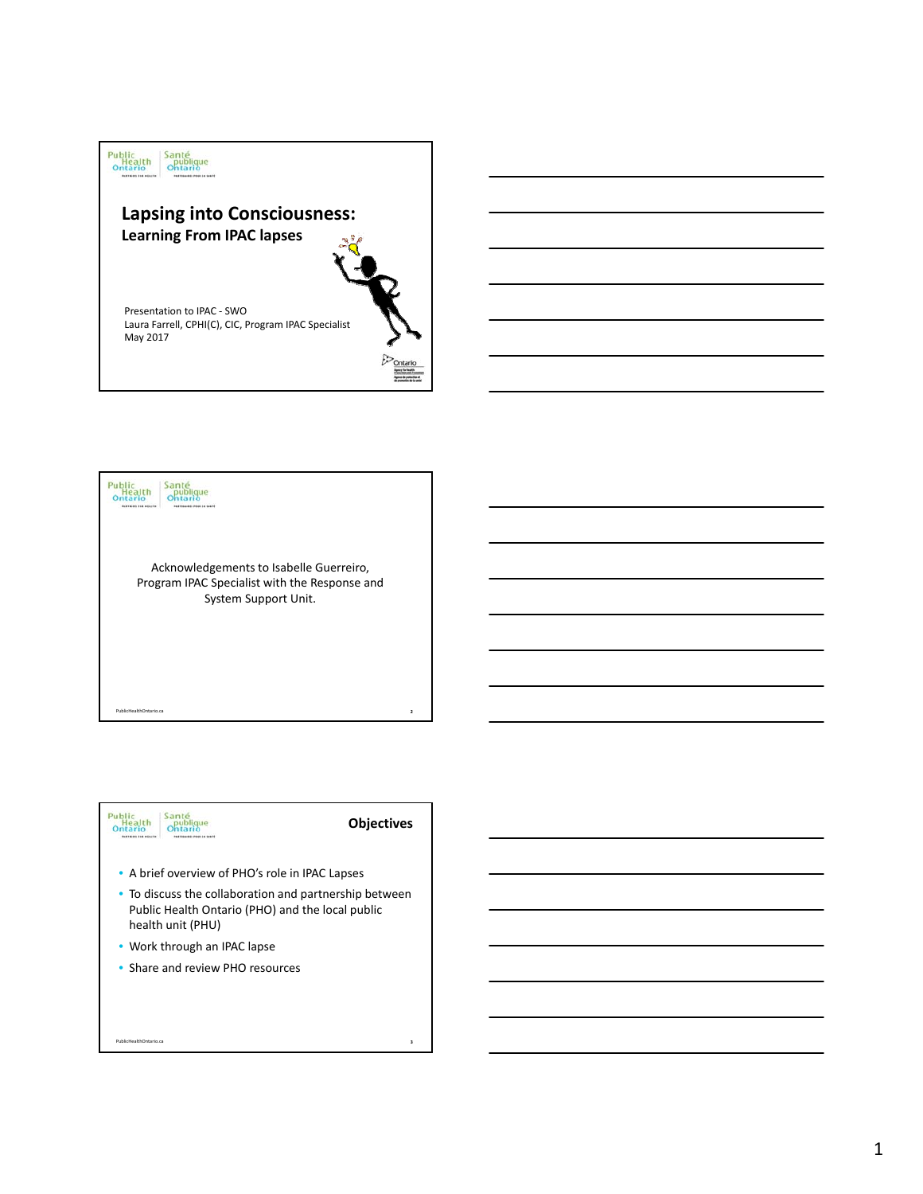





PublicHealthOntario.ca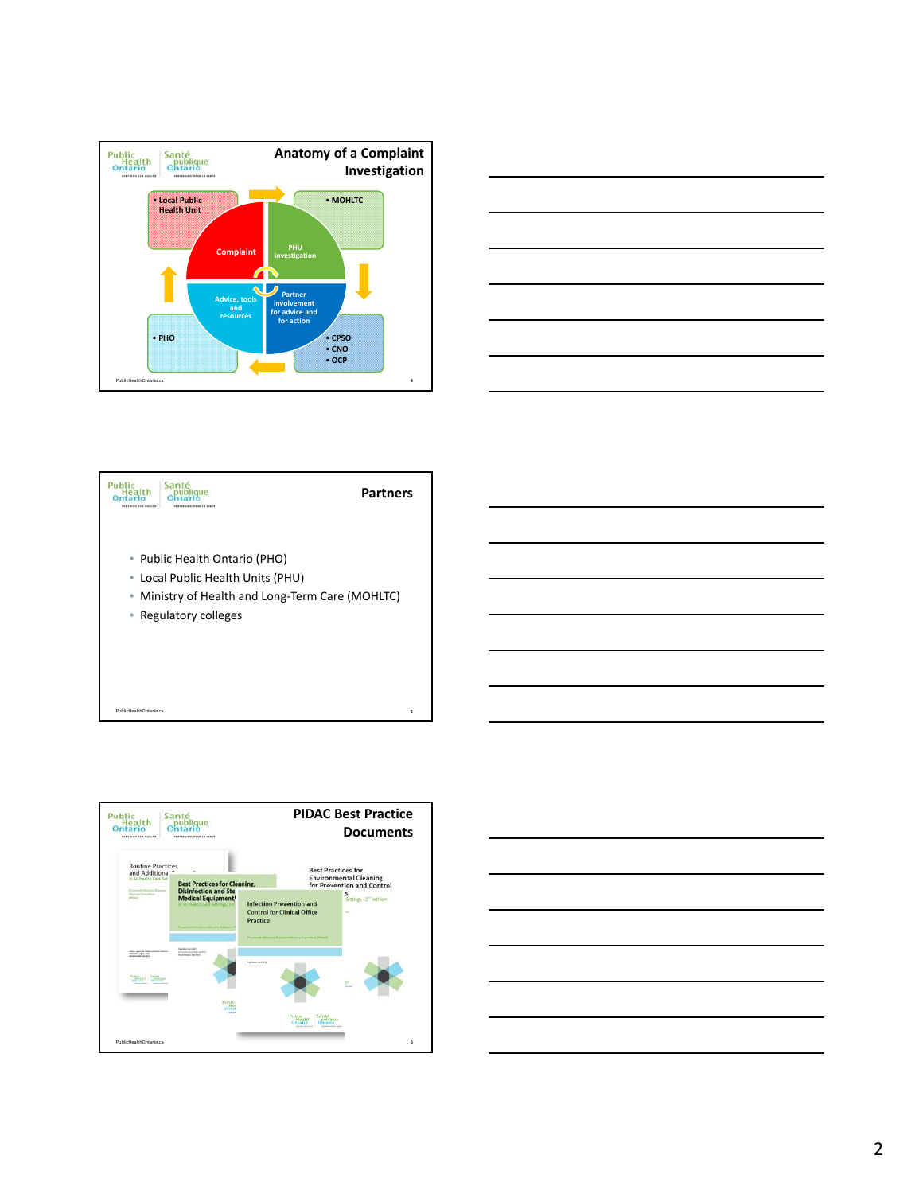







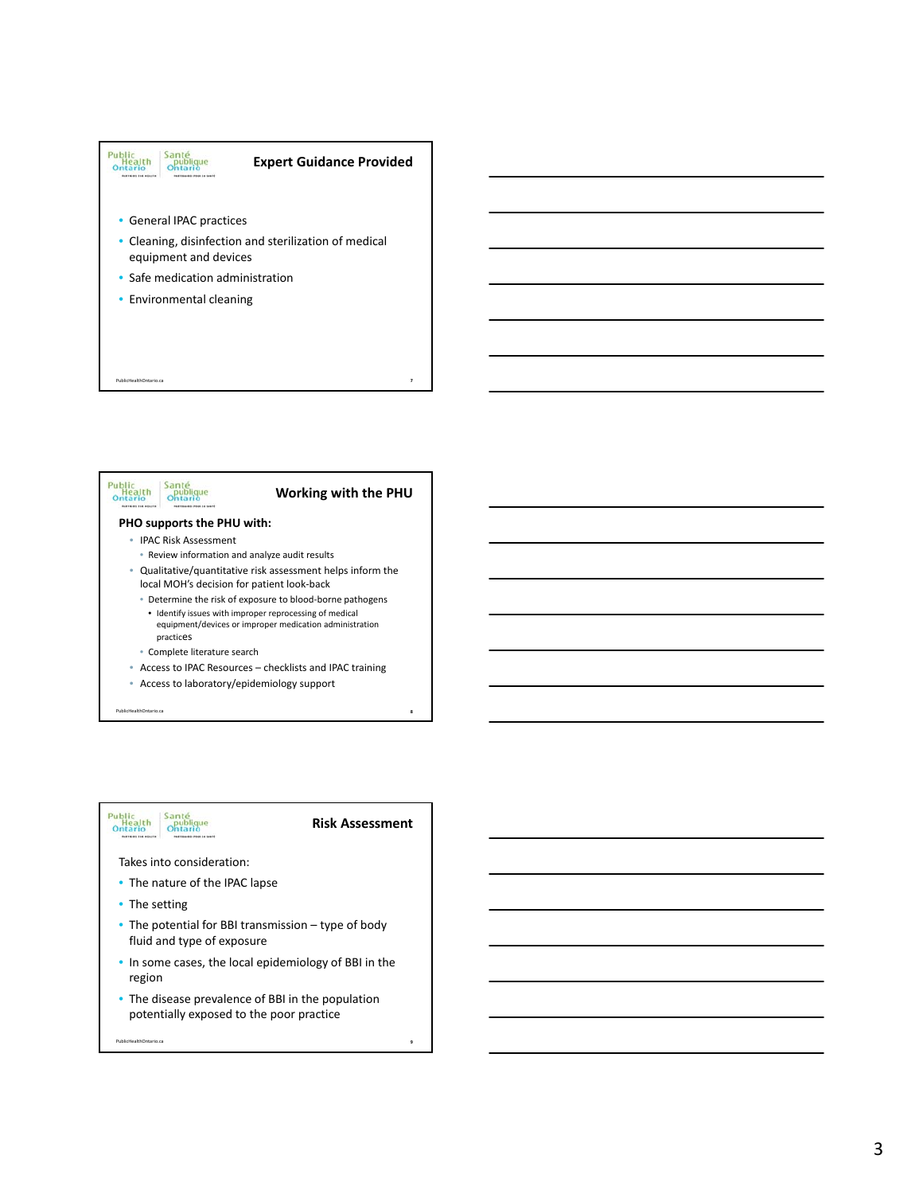



#### Santé<br>publique<br>Ontario Public<br>Health<br>Ontario

**Risk Assessment**

**9**

### Takes into consideration:

- The nature of the IPAC lapse
- The setting

PublicHealthOntario.ca

- The potential for BBI transmission type of body fluid and type of exposure
- In some cases, the local epidemiology of BBI in the region
- The disease prevalence of BBI in the population potentially exposed to the poor practice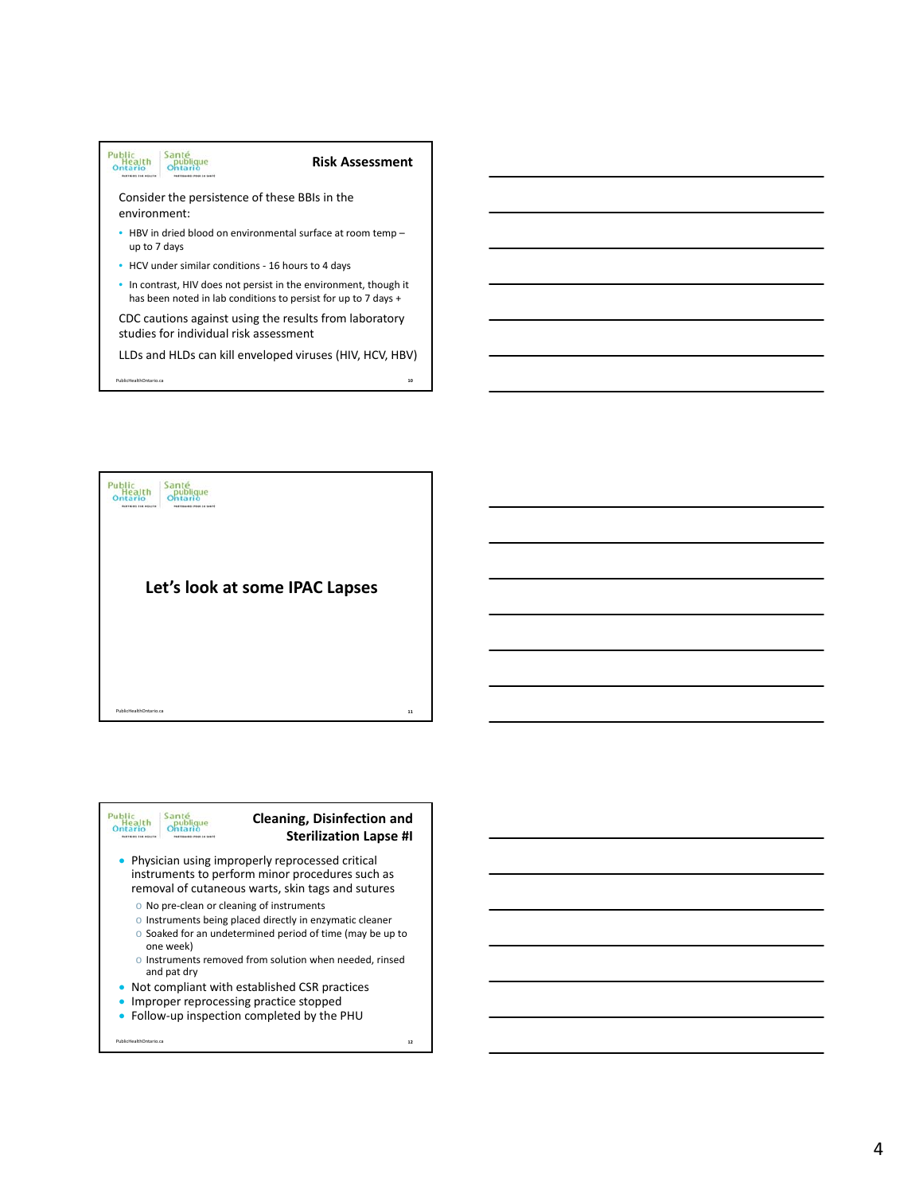

LLDs and HLDs can kill enveloped viruses (HIV, HCV, HBV)

**10**

PublicHealthOntario.ca





PublicHealthOntario.ca

# **Cleaning, Disinfection and Sterilization Lapse #I**

- Physician using improperly reprocessed critical instruments to perform minor procedures such as removal of cutaneous warts, skin tags and sutures
	- o No pre‐clean or cleaning of instruments
	- o Instruments being placed directly in enzymatic cleaner
	- o Soaked for an undetermined period of time (may be up to one week)
	- o Instruments removed from solution when needed, rinsed and pat dry
- Not compliant with established CSR practices
- **· Improper reprocessing practice stopped**
- Follow‐up inspection completed by the PHU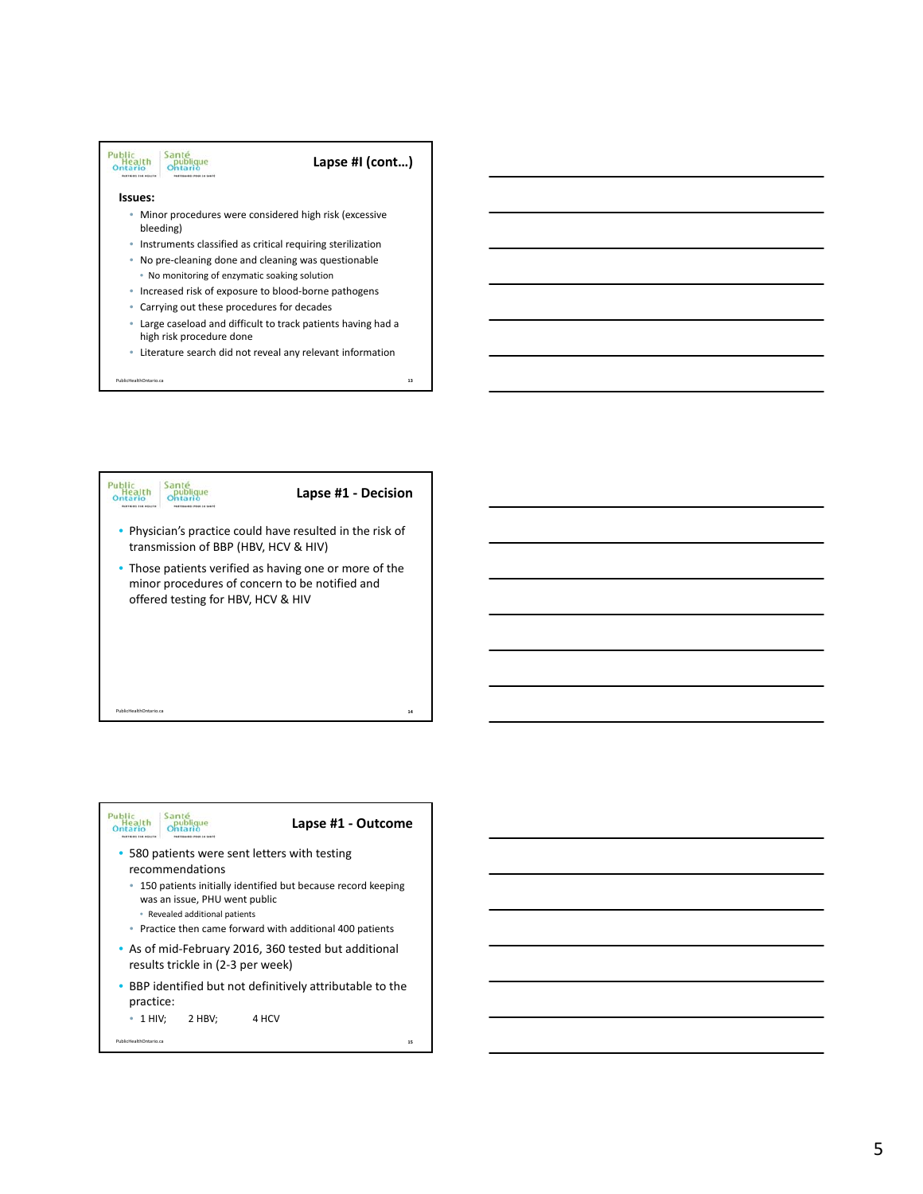





PublicHealthOntario.ca

# **Lapse #1 ‐ Outcome**

- 580 patients were sent letters with testing recommendations
	- 150 patients initially identified but because record keeping was an issue, PHU went public
		- Revealed additional patients
	- Practice then came forward with additional 400 patients
- As of mid‐February 2016, 360 tested but additional results trickle in (2‐3 per week)
- BBP identified but not definitively attributable to the practice:
	- $\bullet$  1 HIV; 2 HBV; 4 HCV
		-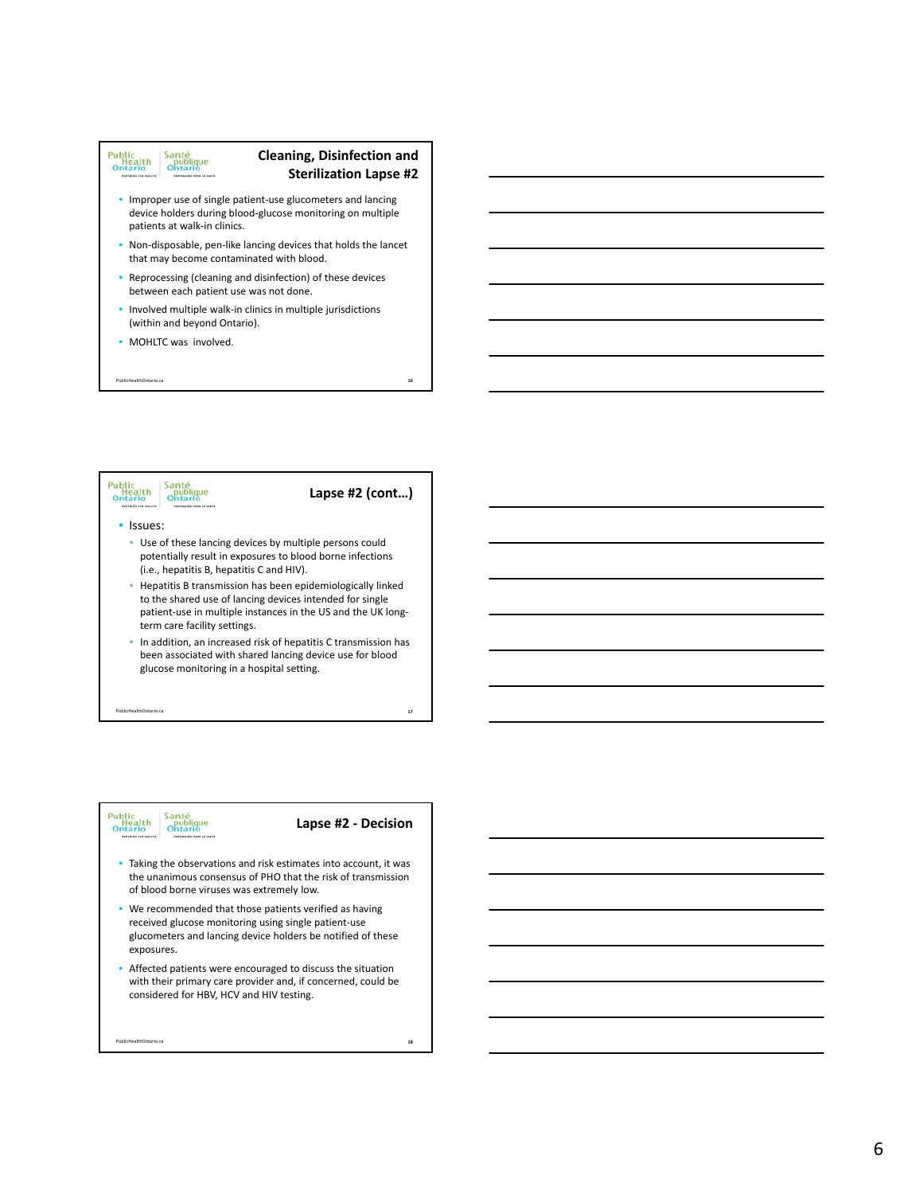#### Public<br>Health<br>Ontario Santé<br>Ontario<br>Ontario

# **Cleaning, Disinfection and Sterilization Lapse #2**

**16**

- Improper use of single patient‐use glucometers and lancing device holders during blood‐glucose monitoring on multiple patients at walk‐in clinics.
- Non-disposable, pen-like lancing devices that holds the lancet that may become contaminated with blood.
- Reprocessing (cleaning and disinfection) of these devices between each patient use was not done.
- Involved multiple walk‐in clinics in multiple jurisdictions (within and beyond Ontario).
- MOHLTC was involved.

PublicHealthOntario.ca





PublicHealthOntario.ca

### **Lapse #2 ‐ Decision**

- Taking the observations and risk estimates into account, it was the unanimous consensus of PHO that the risk of transmission of blood borne viruses was extremely low.
- We recommended that those patients verified as having received glucose monitoring using single patient‐use glucometers and lancing device holders be notified of these exposures.
- Affected patients were encouraged to discuss the situation with their primary care provider and, if concerned, could be considered for HBV, HCV and HIV testing.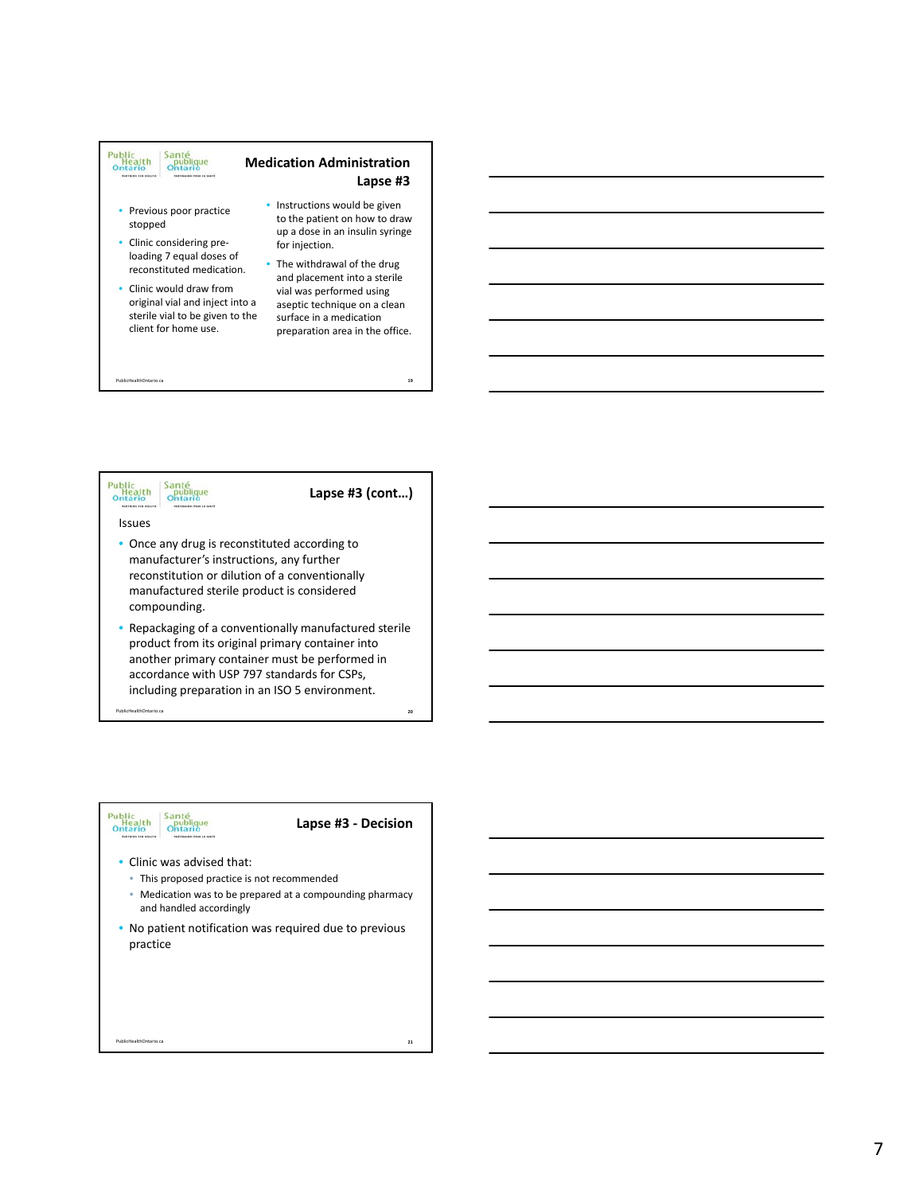



#### Santé<br>Ontario<br>Ontario Public<br>Health<br>Ontario

## **Lapse #3 ‐ Decision**

- Clinic was advised that:
	- This proposed practice is not recommended
	- Medication was to be prepared at a compounding pharmacy and handled accordingly
- No patient notification was required due to previous practice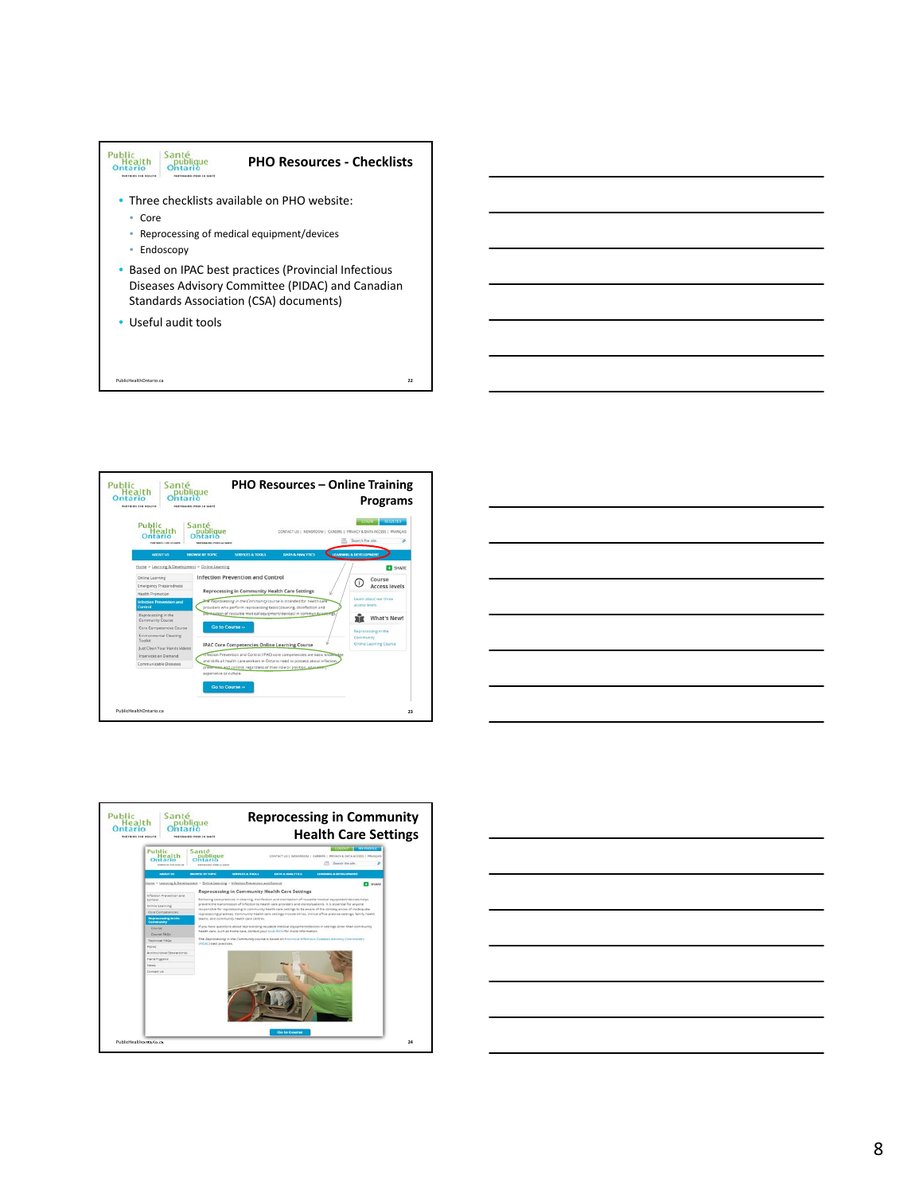







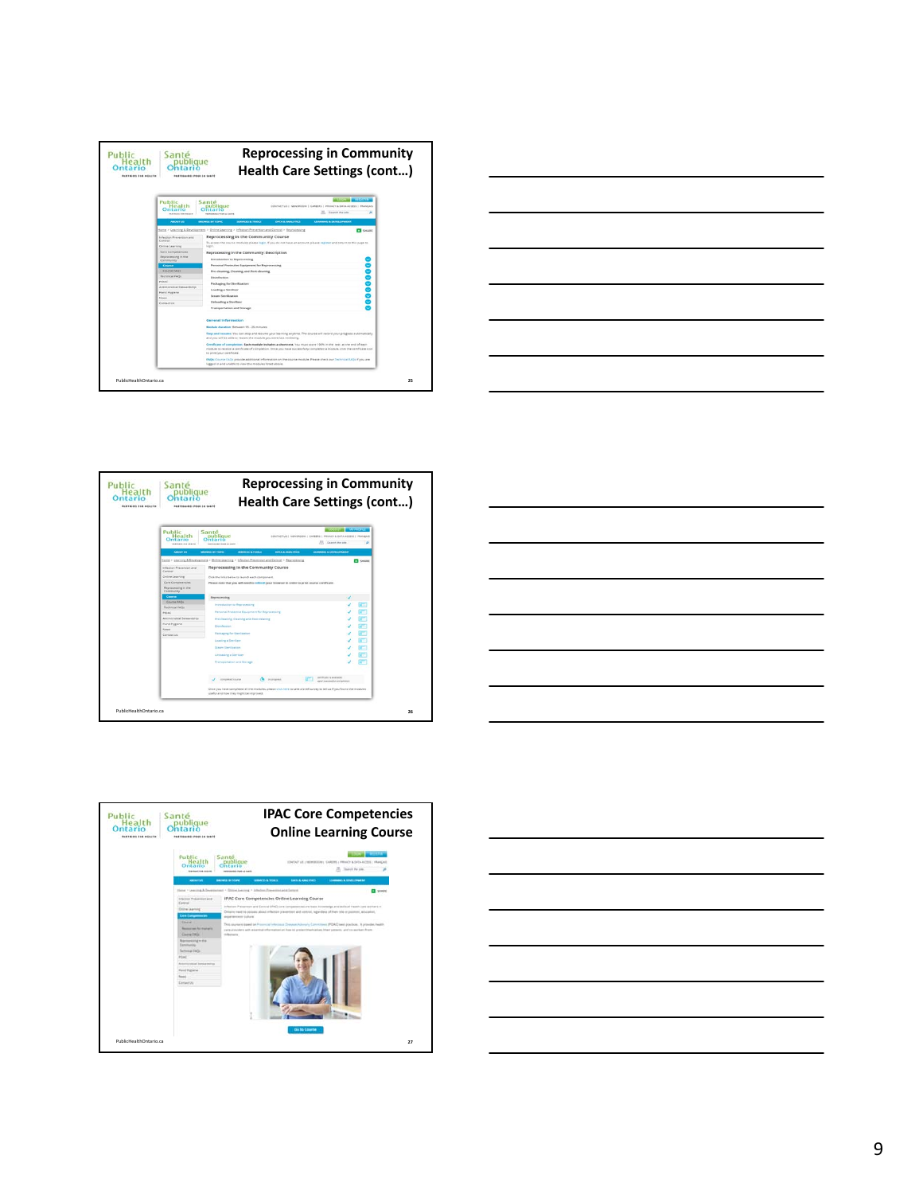









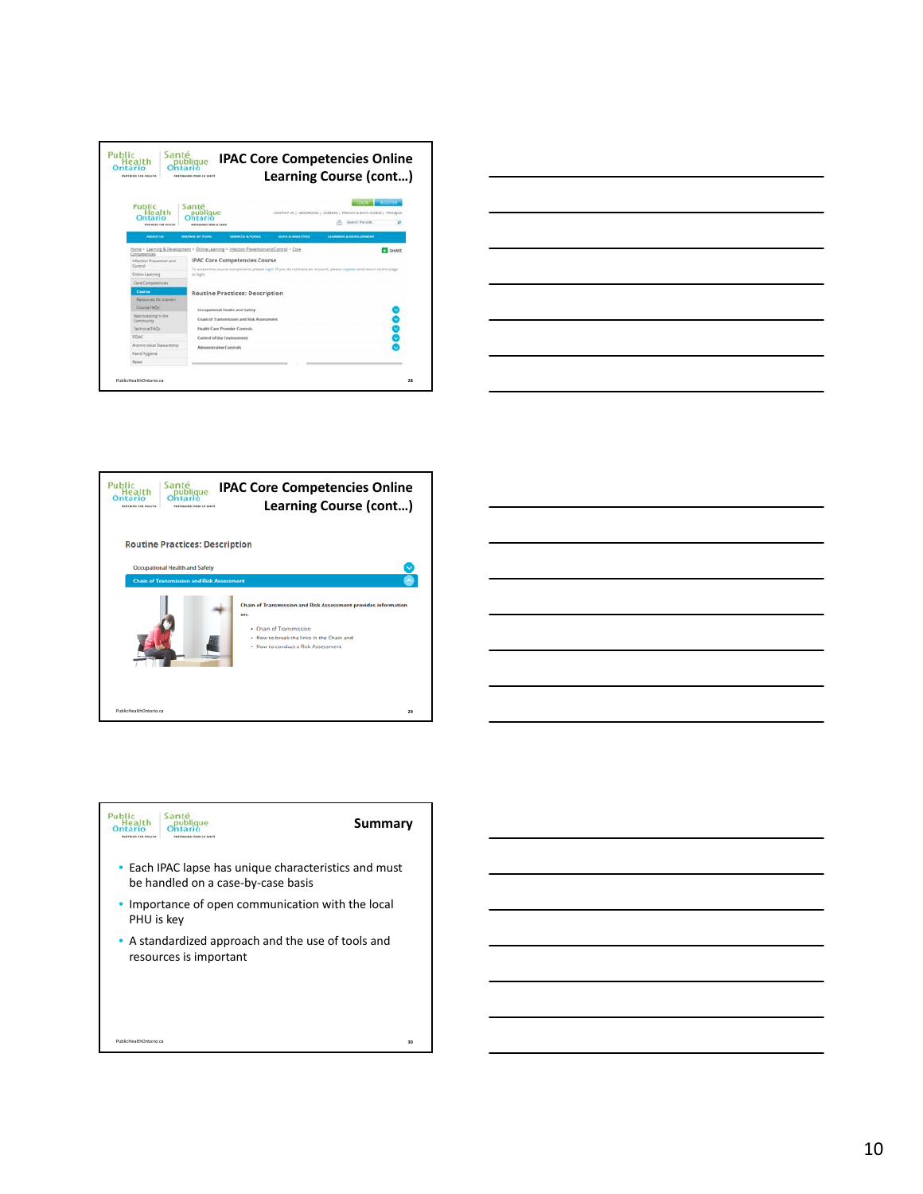